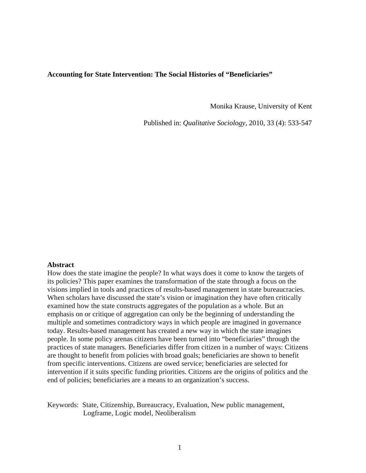# **Accounting for State Intervention: The Social Histories of "Beneficiaries"**

Monika Krause, University of Kent

Published in: *Qualitative Sociology,* 2010, 33 (4): 533-547

#### **Abstract**

How does the state imagine the people? In what ways does it come to know the targets of its policies? This paper examines the transformation of the state through a focus on the visions implied in tools and practices of results-based management in state bureaucracies. When scholars have discussed the state's vision or imagination they have often critically examined how the state constructs aggregates of the population as a whole. But an emphasis on or critique of aggregation can only be the beginning of understanding the multiple and sometimes contradictory ways in which people are imagined in governance today. Results-based management has created a new way in which the state imagines people. In some policy arenas citizens have been turned into "beneficiaries" through the practices of state managers. Beneficiaries differ from citizen in a number of ways: Citizens are thought to benefit from policies with broad goals; beneficiaries are shown to benefit from specific interventions. Citizens are owed service; beneficiaries are selected for intervention if it suits specific funding priorities. Citizens are the origins of politics and the end of policies; beneficiaries are a means to an organization's success.

Keywords: State, Citizenship, Bureaucracy, Evaluation, New public management, Logframe, Logic model, Neoliberalism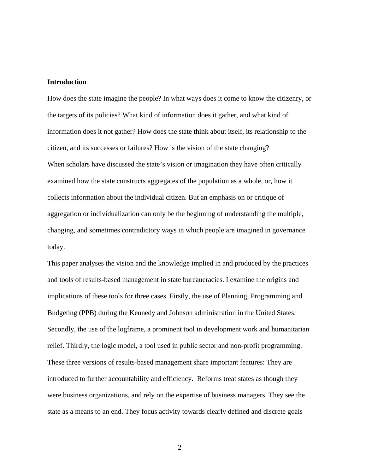# **Introduction**

How does the state imagine the people? In what ways does it come to know the citizenry, or the targets of its policies? What kind of information does it gather, and what kind of information does it not gather? How does the state think about itself, its relationship to the citizen, and its successes or failures? How is the vision of the state changing? When scholars have discussed the state's vision or imagination they have often critically examined how the state constructs aggregates of the population as a whole, or, how it collects information about the individual citizen. But an emphasis on or critique of aggregation or individualization can only be the beginning of understanding the multiple, changing, and sometimes contradictory ways in which people are imagined in governance today.

This paper analyses the vision and the knowledge implied in and produced by the practices and tools of results-based management in state bureaucracies. I examine the origins and implications of these tools for three cases. Firstly, the use of Planning, Programming and Budgeting (PPB) during the Kennedy and Johnson administration in the United States. Secondly, the use of the logframe, a prominent tool in development work and humanitarian relief. Thirdly, the logic model, a tool used in public sector and non-profit programming. These three versions of results-based management share important features: They are introduced to further accountability and efficiency. Reforms treat states as though they were business organizations, and rely on the expertise of business managers. They see the state as a means to an end. They focus activity towards clearly defined and discrete goals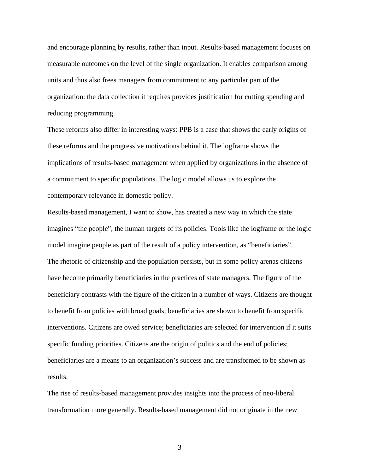and encourage planning by results, rather than input. Results-based management focuses on measurable outcomes on the level of the single organization. It enables comparison among units and thus also frees managers from commitment to any particular part of the organization: the data collection it requires provides justification for cutting spending and reducing programming.

These reforms also differ in interesting ways: PPB is a case that shows the early origins of these reforms and the progressive motivations behind it. The logframe shows the implications of results-based management when applied by organizations in the absence of a commitment to specific populations. The logic model allows us to explore the contemporary relevance in domestic policy.

Results-based management, I want to show, has created a new way in which the state imagines "the people", the human targets of its policies. Tools like the logframe or the logic model imagine people as part of the result of a policy intervention, as "beneficiaries". The rhetoric of citizenship and the population persists, but in some policy arenas citizens have become primarily beneficiaries in the practices of state managers. The figure of the beneficiary contrasts with the figure of the citizen in a number of ways. Citizens are thought to benefit from policies with broad goals; beneficiaries are shown to benefit from specific interventions. Citizens are owed service; beneficiaries are selected for intervention if it suits specific funding priorities. Citizens are the origin of politics and the end of policies; beneficiaries are a means to an organization's success and are transformed to be shown as results.

The rise of results-based management provides insights into the process of neo-liberal transformation more generally. Results-based management did not originate in the new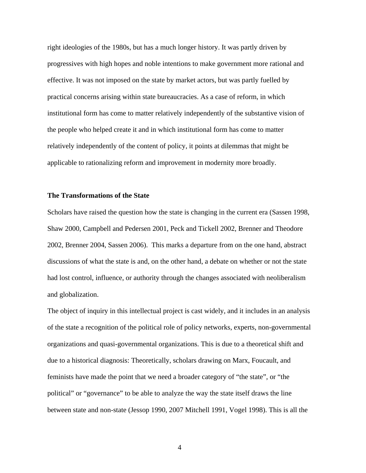right ideologies of the 1980s, but has a much longer history. It was partly driven by progressives with high hopes and noble intentions to make government more rational and effective. It was not imposed on the state by market actors, but was partly fuelled by practical concerns arising within state bureaucracies. As a case of reform, in which institutional form has come to matter relatively independently of the substantive vision of the people who helped create it and in which institutional form has come to matter relatively independently of the content of policy, it points at dilemmas that might be applicable to rationalizing reform and improvement in modernity more broadly.

# **The Transformations of the State**

Scholars have raised the question how the state is changing in the current era (Sassen 1998, Shaw 2000, Campbell and Pedersen 2001, Peck and Tickell 2002, Brenner and Theodore 2002, Brenner 2004, Sassen 2006). This marks a departure from on the one hand, abstract discussions of what the state is and, on the other hand, a debate on whether or not the state had lost control, influence, or authority through the changes associated with neoliberalism and globalization.

The object of inquiry in this intellectual project is cast widely, and it includes in an analysis of the state a recognition of the political role of policy networks, experts, non-governmental organizations and quasi-governmental organizations. This is due to a theoretical shift and due to a historical diagnosis: Theoretically, scholars drawing on Marx, Foucault, and feminists have made the point that we need a broader category of "the state", or "the political" or "governance" to be able to analyze the way the state itself draws the line between state and non-state (Jessop 1990, 2007 Mitchell 1991, Vogel 1998). This is all the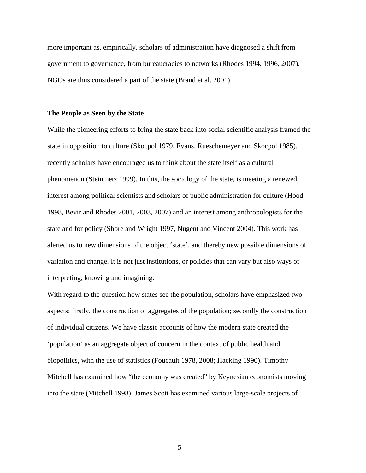more important as, empirically, scholars of administration have diagnosed a shift from government to governance, from bureaucracies to networks (Rhodes 1994, 1996, 2007). NGOs are thus considered a part of the state (Brand et al. 2001).

## **The People as Seen by the State**

While the pioneering efforts to bring the state back into social scientific analysis framed the state in opposition to culture (Skocpol 1979, Evans, Rueschemeyer and Skocpol 1985), recently scholars have encouraged us to think about the state itself as a cultural phenomenon (Steinmetz 1999). In this, the sociology of the state, is meeting a renewed interest among political scientists and scholars of public administration for culture (Hood 1998, Bevir and Rhodes 2001, 2003, 2007) and an interest among anthropologists for the state and for policy (Shore and Wright 1997, Nugent and Vincent 2004). This work has alerted us to new dimensions of the object 'state', and thereby new possible dimensions of variation and change. It is not just institutions, or policies that can vary but also ways of interpreting, knowing and imagining.

With regard to the question how states see the population, scholars have emphasized two aspects: firstly, the construction of aggregates of the population; secondly the construction of individual citizens. We have classic accounts of how the modern state created the 'population' as an aggregate object of concern in the context of public health and biopolitics, with the use of statistics (Foucault 1978, 2008; Hacking 1990). Timothy Mitchell has examined how "the economy was created" by Keynesian economists moving into the state (Mitchell 1998). James Scott has examined various large-scale projects of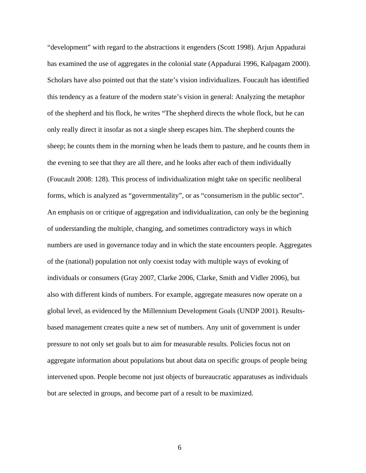"development" with regard to the abstractions it engenders (Scott 1998). Arjun Appadurai has examined the use of aggregates in the colonial state (Appadurai 1996, Kalpagam 2000). Scholars have also pointed out that the state's vision individualizes. Foucault has identified this tendency as a feature of the modern state's vision in general: Analyzing the metaphor of the shepherd and his flock, he writes "The shepherd directs the whole flock, but he can only really direct it insofar as not a single sheep escapes him. The shepherd counts the sheep; he counts them in the morning when he leads them to pasture, and he counts them in the evening to see that they are all there, and he looks after each of them individually (Foucault 2008: 128). This process of individualization might take on specific neoliberal forms, which is analyzed as "governmentality", or as "consumerism in the public sector". An emphasis on or critique of aggregation and individualization, can only be the beginning of understanding the multiple, changing, and sometimes contradictory ways in which numbers are used in governance today and in which the state encounters people. Aggregates of the (national) population not only coexist today with multiple ways of evoking of individuals or consumers (Gray 2007, Clarke 2006, Clarke, Smith and Vidler 2006), but also with different kinds of numbers. For example, aggregate measures now operate on a global level, as evidenced by the Millennium Development Goals (UNDP 2001). Resultsbased management creates quite a new set of numbers. Any unit of government is under pressure to not only set goals but to aim for measurable results. Policies focus not on aggregate information about populations but about data on specific groups of people being intervened upon. People become not just objects of bureaucratic apparatuses as individuals but are selected in groups, and become part of a result to be maximized.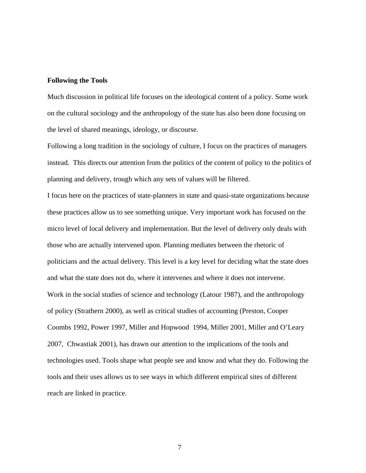# **Following the Tools**

Much discussion in political life focuses on the ideological content of a policy. Some work on the cultural sociology and the anthropology of the state has also been done focusing on the level of shared meanings, ideology, or discourse.

Following a long tradition in the sociology of culture, I focus on the practices of managers instead. This directs our attention from the politics of the content of policy to the politics of planning and delivery, trough which any sets of values will be filtered.

I focus here on the practices of state-planners in state and quasi-state organizations because these practices allow us to see something unique. Very important work has focused on the micro level of local delivery and implementation. But the level of delivery only deals with those who are actually intervened upon. Planning mediates between the rhetoric of politicians and the actual delivery. This level is a key level for deciding what the state does and what the state does not do, where it intervenes and where it does not intervene. Work in the social studies of science and technology (Latour 1987), and the anthropology of policy (Strathern 2000), as well as critical studies of accounting (Preston, Cooper Coombs 1992, Power 1997, Miller and Hopwood 1994, Miller 2001, Miller and O'Leary 2007, Chwastiak 2001), has drawn our attention to the implications of the tools and technologies used. Tools shape what people see and know and what they do. Following the tools and their uses allows us to see ways in which different empirical sites of different reach are linked in practice.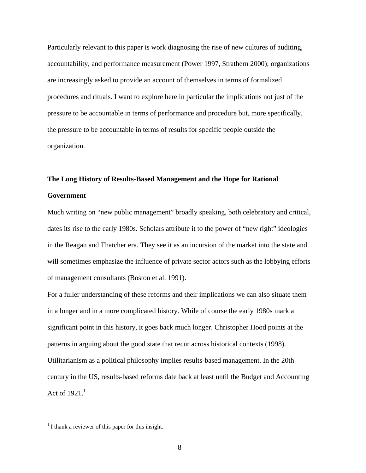Particularly relevant to this paper is work diagnosing the rise of new cultures of auditing, accountability, and performance measurement (Power 1997, Strathern 2000); organizations are increasingly asked to provide an account of themselves in terms of formalized procedures and rituals. I want to explore here in particular the implications not just of the pressure to be accountable in terms of performance and procedure but, more specifically, the pressure to be accountable in terms of results for specific people outside the organization.

# **The Long History of Results-Based Management and the Hope for Rational**

# **Government**

Much writing on "new public management" broadly speaking, both celebratory and critical, dates its rise to the early 1980s. Scholars attribute it to the power of "new right" ideologies in the Reagan and Thatcher era. They see it as an incursion of the market into the state and will sometimes emphasize the influence of private sector actors such as the lobbying efforts of management consultants (Boston et al. 1991).

For a fuller understanding of these reforms and their implications we can also situate them in a longer and in a more complicated history. While of course the early 1980s mark a significant point in this history, it goes back much longer. Christopher Hood points at the patterns in arguing about the good state that recur across historical contexts (1998). Utilitarianism as a political philosophy implies results-based management. In the 20th century in the US, results-based reforms date back at least until the Budget and Accounting Act of  $1921<sup>1</sup>$ 

 $\overline{a}$ 

 $<sup>1</sup>$  I thank a reviewer of this paper for this insight.</sup>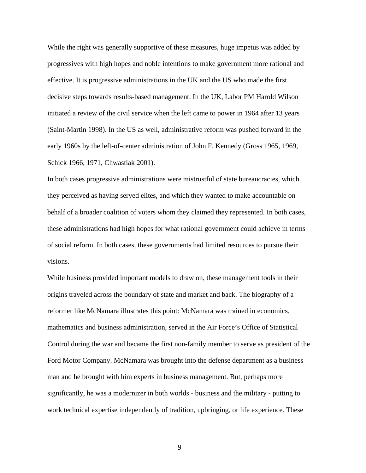While the right was generally supportive of these measures, huge impetus was added by progressives with high hopes and noble intentions to make government more rational and effective. It is progressive administrations in the UK and the US who made the first decisive steps towards results-based management. In the UK, Labor PM Harold Wilson initiated a review of the civil service when the left came to power in 1964 after 13 years (Saint-Martin 1998). In the US as well, administrative reform was pushed forward in the early 1960s by the left-of-center administration of John F. Kennedy (Gross 1965, 1969, Schick 1966, 1971, Chwastiak 2001).

In both cases progressive administrations were mistrustful of state bureaucracies, which they perceived as having served elites, and which they wanted to make accountable on behalf of a broader coalition of voters whom they claimed they represented. In both cases, these administrations had high hopes for what rational government could achieve in terms of social reform. In both cases, these governments had limited resources to pursue their visions.

While business provided important models to draw on, these management tools in their origins traveled across the boundary of state and market and back. The biography of a reformer like McNamara illustrates this point: McNamara was trained in economics, mathematics and business administration, served in the Air Force's Office of Statistical Control during the war and became the first non-family member to serve as president of the Ford Motor Company. McNamara was brought into the defense department as a business man and he brought with him experts in business management. But, perhaps more significantly, he was a modernizer in both worlds - business and the military - putting to work technical expertise independently of tradition, upbringing, or life experience. These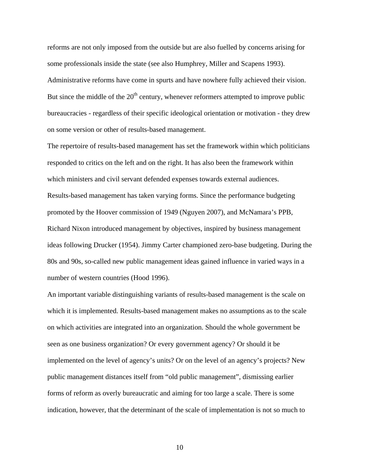reforms are not only imposed from the outside but are also fuelled by concerns arising for some professionals inside the state (see also Humphrey, Miller and Scapens 1993). Administrative reforms have come in spurts and have nowhere fully achieved their vision. But since the middle of the  $20<sup>th</sup>$  century, whenever reformers attempted to improve public bureaucracies - regardless of their specific ideological orientation or motivation - they drew on some version or other of results-based management.

The repertoire of results-based management has set the framework within which politicians responded to critics on the left and on the right. It has also been the framework within which ministers and civil servant defended expenses towards external audiences. Results-based management has taken varying forms. Since the performance budgeting promoted by the Hoover commission of 1949 (Nguyen 2007), and McNamara's PPB, Richard Nixon introduced management by objectives, inspired by business management ideas following Drucker (1954). Jimmy Carter championed zero-base budgeting. During the 80s and 90s, so-called new public management ideas gained influence in varied ways in a number of western countries (Hood 1996).

An important variable distinguishing variants of results-based management is the scale on which it is implemented. Results-based management makes no assumptions as to the scale on which activities are integrated into an organization. Should the whole government be seen as one business organization? Or every government agency? Or should it be implemented on the level of agency's units? Or on the level of an agency's projects? New public management distances itself from "old public management", dismissing earlier forms of reform as overly bureaucratic and aiming for too large a scale. There is some indication, however, that the determinant of the scale of implementation is not so much to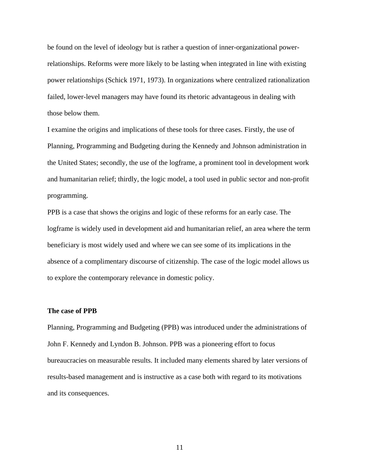be found on the level of ideology but is rather a question of inner-organizational powerrelationships. Reforms were more likely to be lasting when integrated in line with existing power relationships (Schick 1971, 1973). In organizations where centralized rationalization failed, lower-level managers may have found its rhetoric advantageous in dealing with those below them.

I examine the origins and implications of these tools for three cases. Firstly, the use of Planning, Programming and Budgeting during the Kennedy and Johnson administration in the United States; secondly, the use of the logframe, a prominent tool in development work and humanitarian relief; thirdly, the logic model, a tool used in public sector and non-profit programming.

PPB is a case that shows the origins and logic of these reforms for an early case. The logframe is widely used in development aid and humanitarian relief, an area where the term beneficiary is most widely used and where we can see some of its implications in the absence of a complimentary discourse of citizenship. The case of the logic model allows us to explore the contemporary relevance in domestic policy.

## **The case of PPB**

Planning, Programming and Budgeting (PPB) was introduced under the administrations of John F. Kennedy and Lyndon B. Johnson. PPB was a pioneering effort to focus bureaucracies on measurable results. It included many elements shared by later versions of results-based management and is instructive as a case both with regard to its motivations and its consequences.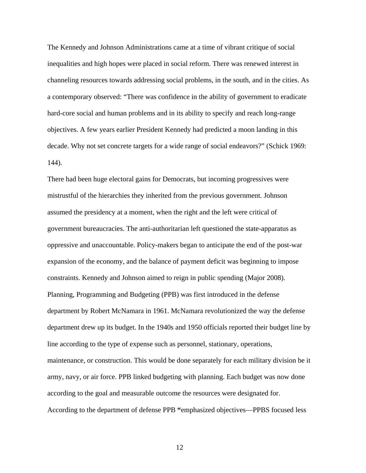The Kennedy and Johnson Administrations came at a time of vibrant critique of social inequalities and high hopes were placed in social reform. There was renewed interest in channeling resources towards addressing social problems, in the south, and in the cities. As a contemporary observed: "There was confidence in the ability of government to eradicate hard-core social and human problems and in its ability to specify and reach long-range objectives. A few years earlier President Kennedy had predicted a moon landing in this decade. Why not set concrete targets for a wide range of social endeavors?" (Schick 1969: 144).

There had been huge electoral gains for Democrats, but incoming progressives were mistrustful of the hierarchies they inherited from the previous government. Johnson assumed the presidency at a moment, when the right and the left were critical of government bureaucracies. The anti-authoritarian left questioned the state-apparatus as oppressive and unaccountable. Policy-makers began to anticipate the end of the post-war expansion of the economy, and the balance of payment deficit was beginning to impose constraints. Kennedy and Johnson aimed to reign in public spending (Major 2008). Planning, Programming and Budgeting (PPB) was first introduced in the defense department by Robert McNamara in 1961. McNamara revolutionized the way the defense department drew up its budget. In the 1940s and 1950 officials reported their budget line by line according to the type of expense such as personnel, stationary, operations, maintenance, or construction. This would be done separately for each military division be it army, navy, or air force. PPB linked budgeting with planning. Each budget was now done according to the goal and measurable outcome the resources were designated for. According to the department of defense PPB **"**emphasized objectives—PPBS focused less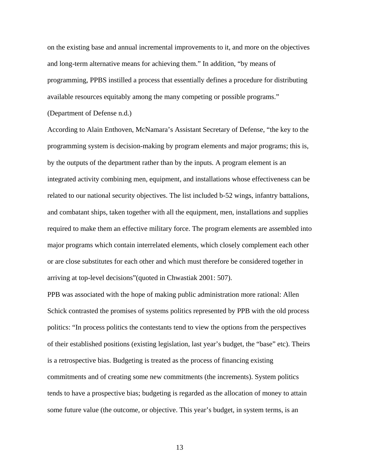on the existing base and annual incremental improvements to it, and more on the objectives and long-term alternative means for achieving them." In addition, "by means of programming, PPBS instilled a process that essentially defines a procedure for distributing available resources equitably among the many competing or possible programs."

(Department of Defense n.d.)

According to Alain Enthoven, McNamara's Assistant Secretary of Defense, "the key to the programming system is decision-making by program elements and major programs; this is, by the outputs of the department rather than by the inputs. A program element is an integrated activity combining men, equipment, and installations whose effectiveness can be related to our national security objectives. The list included b-52 wings, infantry battalions, and combatant ships, taken together with all the equipment, men, installations and supplies required to make them an effective military force. The program elements are assembled into major programs which contain interrelated elements, which closely complement each other or are close substitutes for each other and which must therefore be considered together in arriving at top-level decisions"(quoted in Chwastiak 2001: 507).

PPB was associated with the hope of making public administration more rational: Allen Schick contrasted the promises of systems politics represented by PPB with the old process politics: "In process politics the contestants tend to view the options from the perspectives of their established positions (existing legislation, last year's budget, the "base" etc). Theirs is a retrospective bias. Budgeting is treated as the process of financing existing commitments and of creating some new commitments (the increments). System politics tends to have a prospective bias; budgeting is regarded as the allocation of money to attain some future value (the outcome, or objective. This year's budget, in system terms, is an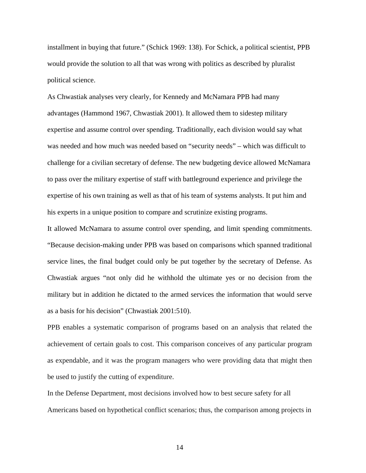installment in buying that future." (Schick 1969: 138). For Schick, a political scientist, PPB would provide the solution to all that was wrong with politics as described by pluralist political science.

As Chwastiak analyses very clearly, for Kennedy and McNamara PPB had many advantages (Hammond 1967, Chwastiak 2001). It allowed them to sidestep military expertise and assume control over spending. Traditionally, each division would say what was needed and how much was needed based on "security needs" – which was difficult to challenge for a civilian secretary of defense. The new budgeting device allowed McNamara to pass over the military expertise of staff with battleground experience and privilege the expertise of his own training as well as that of his team of systems analysts. It put him and his experts in a unique position to compare and scrutinize existing programs.

It allowed McNamara to assume control over spending, and limit spending commitments. "Because decision-making under PPB was based on comparisons which spanned traditional service lines, the final budget could only be put together by the secretary of Defense. As Chwastiak argues "not only did he withhold the ultimate yes or no decision from the military but in addition he dictated to the armed services the information that would serve as a basis for his decision" (Chwastiak 2001:510).

PPB enables a systematic comparison of programs based on an analysis that related the achievement of certain goals to cost. This comparison conceives of any particular program as expendable, and it was the program managers who were providing data that might then be used to justify the cutting of expenditure.

In the Defense Department, most decisions involved how to best secure safety for all Americans based on hypothetical conflict scenarios; thus, the comparison among projects in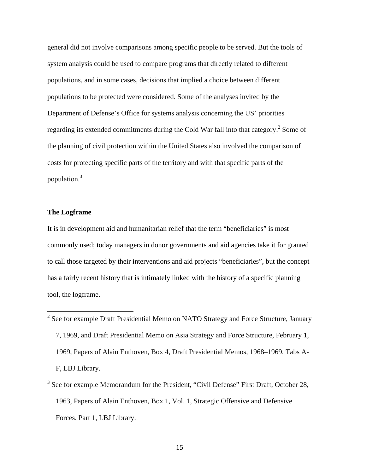general did not involve comparisons among specific people to be served. But the tools of system analysis could be used to compare programs that directly related to different populations, and in some cases, decisions that implied a choice between different populations to be protected were considered. Some of the analyses invited by the Department of Defense's Office for systems analysis concerning the US' priorities regarding its extended commitments during the Cold War fall into that category. $^2$  Some of the planning of civil protection within the United States also involved the comparison of costs for protecting specific parts of the territory and with that specific parts of the population.3

# **The Logframe**

 $\overline{a}$ 

It is in development aid and humanitarian relief that the term "beneficiaries" is most commonly used; today managers in donor governments and aid agencies take it for granted to call those targeted by their interventions and aid projects "beneficiaries", but the concept has a fairly recent history that is intimately linked with the history of a specific planning tool, the logframe.

- $2^2$  See for example Draft Presidential Memo on NATO Strategy and Force Structure, January 7, 1969, and Draft Presidential Memo on Asia Strategy and Force Structure, February 1, 1969, Papers of Alain Enthoven, Box 4, Draft Presidential Memos, 1968–1969, Tabs A-F, LBJ Library.
- <sup>3</sup> See for example Memorandum for the President, "Civil Defense" First Draft, October 28, 1963, Papers of Alain Enthoven, Box 1, Vol. 1, Strategic Offensive and Defensive Forces, Part 1, LBJ Library.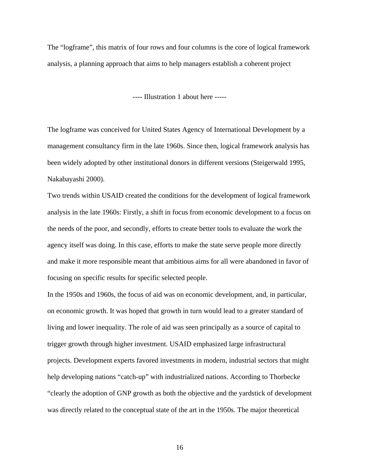The "logframe", this matrix of four rows and four columns is the core of logical framework analysis, a planning approach that aims to help managers establish a coherent project

---- Illustration 1 about here -----

The logframe was conceived for United States Agency of International Development by a management consultancy firm in the late 1960s. Since then, logical framework analysis has been widely adopted by other institutional donors in different versions (Steigerwald 1995, Nakabayashi 2000).

Two trends within USAID created the conditions for the development of logical framework analysis in the late 1960s: Firstly, a shift in focus from economic development to a focus on the needs of the poor, and secondly, efforts to create better tools to evaluate the work the agency itself was doing. In this case, efforts to make the state serve people more directly and make it more responsible meant that ambitious aims for all were abandoned in favor of focusing on specific results for specific selected people.

In the 1950s and 1960s, the focus of aid was on economic development, and, in particular, on economic growth. It was hoped that growth in turn would lead to a greater standard of living and lower inequality. The role of aid was seen principally as a source of capital to trigger growth through higher investment. USAID emphasized large infrastructural projects. Development experts favored investments in modern, industrial sectors that might help developing nations "catch-up" with industrialized nations. According to Thorbecke "clearly the adoption of GNP growth as both the objective and the yardstick of development was directly related to the conceptual state of the art in the 1950s. The major theoretical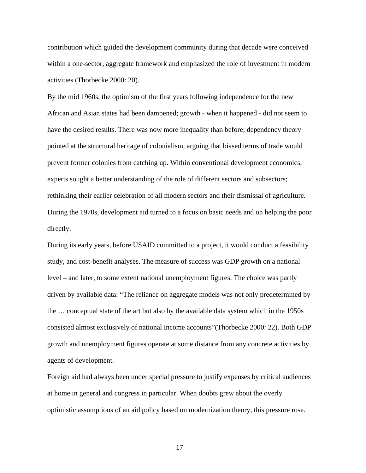contribution which guided the development community during that decade were conceived within a one-sector, aggregate framework and emphasized the role of investment in modern activities (Thorbecke 2000: 20).

By the mid 1960s, the optimism of the first years following independence for the new African and Asian states had been dampened; growth - when it happened - did not seem to have the desired results. There was now more inequality than before; dependency theory pointed at the structural heritage of colonialism, arguing that biased terms of trade would prevent former colonies from catching up. Within conventional development economics, experts sought a better understanding of the role of different sectors and subsectors; rethinking their earlier celebration of all modern sectors and their dismissal of agriculture. During the 1970s, development aid turned to a focus on basic needs and on helping the poor directly.

During its early years, before USAID committed to a project, it would conduct a feasibility study, and cost-benefit analyses. The measure of success was GDP growth on a national level – and later, to some extent national unemployment figures. The choice was partly driven by available data: "The reliance on aggregate models was not only predetermined by the … conceptual state of the art but also by the available data system which in the 1950s consisted almost exclusively of national income accounts"(Thorbecke 2000: 22). Both GDP growth and unemployment figures operate at some distance from any concrete activities by agents of development.

Foreign aid had always been under special pressure to justify expenses by critical audiences at home in general and congress in particular. When doubts grew about the overly optimistic assumptions of an aid policy based on modernization theory, this pressure rose.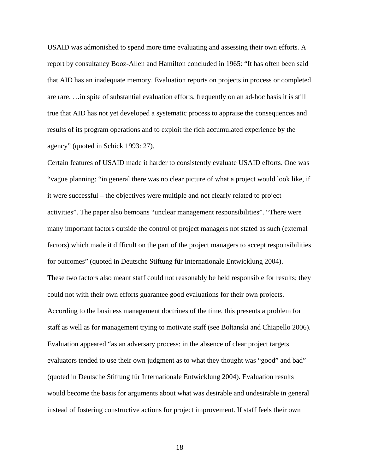USAID was admonished to spend more time evaluating and assessing their own efforts. A report by consultancy Booz-Allen and Hamilton concluded in 1965: "It has often been said that AID has an inadequate memory. Evaluation reports on projects in process or completed are rare. …in spite of substantial evaluation efforts, frequently on an ad-hoc basis it is still true that AID has not yet developed a systematic process to appraise the consequences and results of its program operations and to exploit the rich accumulated experience by the agency" (quoted in Schick 1993: 27).

Certain features of USAID made it harder to consistently evaluate USAID efforts. One was "vague planning: "in general there was no clear picture of what a project would look like, if it were successful – the objectives were multiple and not clearly related to project activities". The paper also bemoans "unclear management responsibilities". "There were many important factors outside the control of project managers not stated as such (external factors) which made it difficult on the part of the project managers to accept responsibilities for outcomes" (quoted in Deutsche Stiftung für Internationale Entwicklung 2004). These two factors also meant staff could not reasonably be held responsible for results; they could not with their own efforts guarantee good evaluations for their own projects. According to the business management doctrines of the time, this presents a problem for staff as well as for management trying to motivate staff (see Boltanski and Chiapello 2006). Evaluation appeared "as an adversary process: in the absence of clear project targets evaluators tended to use their own judgment as to what they thought was "good" and bad" (quoted in Deutsche Stiftung für Internationale Entwicklung 2004). Evaluation results would become the basis for arguments about what was desirable and undesirable in general instead of fostering constructive actions for project improvement. If staff feels their own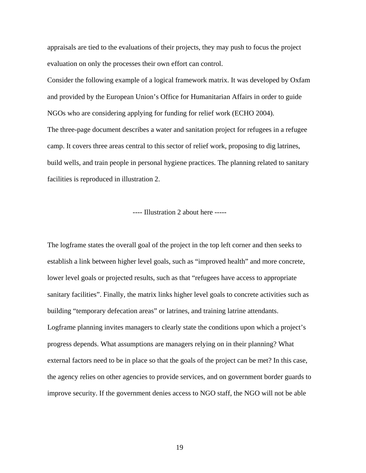appraisals are tied to the evaluations of their projects, they may push to focus the project evaluation on only the processes their own effort can control.

Consider the following example of a logical framework matrix. It was developed by Oxfam and provided by the European Union's Office for Humanitarian Affairs in order to guide NGOs who are considering applying for funding for relief work (ECHO 2004). The three-page document describes a water and sanitation project for refugees in a refugee camp. It covers three areas central to this sector of relief work, proposing to dig latrines, build wells, and train people in personal hygiene practices. The planning related to sanitary facilities is reproduced in illustration 2.

---- Illustration 2 about here -----

The logframe states the overall goal of the project in the top left corner and then seeks to establish a link between higher level goals, such as "improved health" and more concrete, lower level goals or projected results, such as that "refugees have access to appropriate sanitary facilities". Finally, the matrix links higher level goals to concrete activities such as building "temporary defecation areas" or latrines, and training latrine attendants. Logframe planning invites managers to clearly state the conditions upon which a project's progress depends. What assumptions are managers relying on in their planning? What external factors need to be in place so that the goals of the project can be met? In this case, the agency relies on other agencies to provide services, and on government border guards to improve security. If the government denies access to NGO staff, the NGO will not be able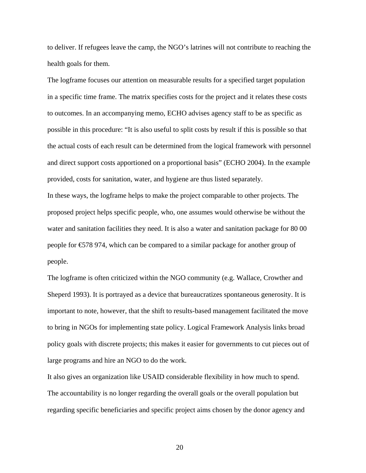to deliver. If refugees leave the camp, the NGO's latrines will not contribute to reaching the health goals for them.

The logframe focuses our attention on measurable results for a specified target population in a specific time frame. The matrix specifies costs for the project and it relates these costs to outcomes. In an accompanying memo, ECHO advises agency staff to be as specific as possible in this procedure: "It is also useful to split costs by result if this is possible so that the actual costs of each result can be determined from the logical framework with personnel and direct support costs apportioned on a proportional basis" (ECHO 2004). In the example provided, costs for sanitation, water, and hygiene are thus listed separately.

In these ways, the logframe helps to make the project comparable to other projects. The proposed project helps specific people, who, one assumes would otherwise be without the water and sanitation facilities they need. It is also a water and sanitation package for 80 00 people for €578 974, which can be compared to a similar package for another group of people.

The logframe is often criticized within the NGO community (e.g. Wallace, Crowther and Sheperd 1993). It is portrayed as a device that bureaucratizes spontaneous generosity. It is important to note, however, that the shift to results-based management facilitated the move to bring in NGOs for implementing state policy. Logical Framework Analysis links broad policy goals with discrete projects; this makes it easier for governments to cut pieces out of large programs and hire an NGO to do the work.

It also gives an organization like USAID considerable flexibility in how much to spend. The accountability is no longer regarding the overall goals or the overall population but regarding specific beneficiaries and specific project aims chosen by the donor agency and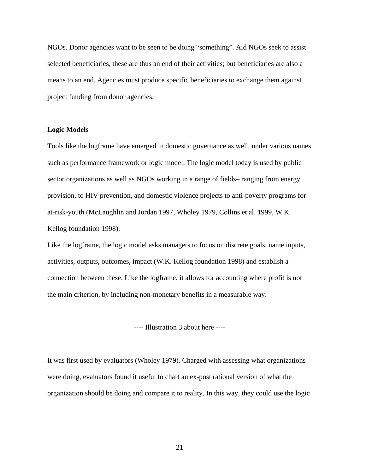NGOs. Donor agencies want to be seen to be doing "something". Aid NGOs seek to assist selected beneficiaries, these are thus an end of their activities; but beneficiaries are also a means to an end. Agencies must produce specific beneficiaries to exchange them against project funding from donor agencies.

# **Logic Models**

Tools like the logframe have emerged in domestic governance as well, under various names such as performance framework or logic model. The logic model today is used by public sector organizations as well as NGOs working in a range of fields– ranging from energy provision, to HIV prevention, and domestic violence projects to anti-poverty programs for at-risk-youth (McLaughlin and Jordan 1997, Wholey 1979, Collins et al. 1999, W.K. Kellog foundation 1998).

Like the logframe, the logic model asks managers to focus on discrete goals, name inputs, activities, outputs, outcomes, impact (W.K. Kellog foundation 1998) and establish a connection between these. Like the logframe, it allows for accounting where profit is not the main criterion, by including non-monetary benefits in a measurable way.

---- Illustration 3 about here ----

It was first used by evaluators (Wholey 1979). Charged with assessing what organizations were doing, evaluators found it useful to chart an ex-post rational version of what the organization should be doing and compare it to reality. In this way, they could use the logic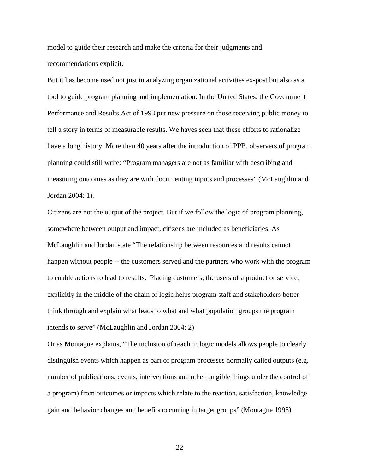model to guide their research and make the criteria for their judgments and recommendations explicit.

But it has become used not just in analyzing organizational activities ex-post but also as a tool to guide program planning and implementation. In the United States, the Government Performance and Results Act of 1993 put new pressure on those receiving public money to tell a story in terms of measurable results. We haves seen that these efforts to rationalize have a long history. More than 40 years after the introduction of PPB, observers of program planning could still write: "Program managers are not as familiar with describing and measuring outcomes as they are with documenting inputs and processes" (McLaughlin and Jordan 2004: 1).

Citizens are not the output of the project. But if we follow the logic of program planning, somewhere between output and impact, citizens are included as beneficiaries. As McLaughlin and Jordan state "The relationship between resources and results cannot happen without people -- the customers served and the partners who work with the program to enable actions to lead to results. Placing customers, the users of a product or service, explicitly in the middle of the chain of logic helps program staff and stakeholders better think through and explain what leads to what and what population groups the program intends to serve" (McLaughlin and Jordan 2004: 2)

Or as Montague explains, "The inclusion of reach in logic models allows people to clearly distinguish events which happen as part of program processes normally called outputs (e.g. number of publications, events, interventions and other tangible things under the control of a program) from outcomes or impacts which relate to the reaction, satisfaction, knowledge gain and behavior changes and benefits occurring in target groups" (Montague 1998)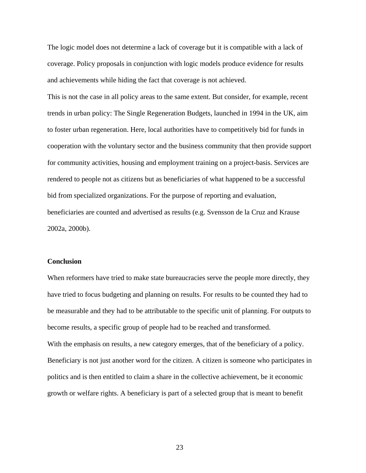The logic model does not determine a lack of coverage but it is compatible with a lack of coverage. Policy proposals in conjunction with logic models produce evidence for results and achievements while hiding the fact that coverage is not achieved.

This is not the case in all policy areas to the same extent. But consider, for example, recent trends in urban policy: The Single Regeneration Budgets, launched in 1994 in the UK, aim to foster urban regeneration. Here, local authorities have to competitively bid for funds in cooperation with the voluntary sector and the business community that then provide support for community activities, housing and employment training on a project-basis. Services are rendered to people not as citizens but as beneficiaries of what happened to be a successful bid from specialized organizations. For the purpose of reporting and evaluation, beneficiaries are counted and advertised as results (e.g. Svensson de la Cruz and Krause 2002a, 2000b).

# **Conclusion**

When reformers have tried to make state bureaucracies serve the people more directly, they have tried to focus budgeting and planning on results. For results to be counted they had to be measurable and they had to be attributable to the specific unit of planning. For outputs to become results, a specific group of people had to be reached and transformed. With the emphasis on results, a new category emerges, that of the beneficiary of a policy. Beneficiary is not just another word for the citizen. A citizen is someone who participates in politics and is then entitled to claim a share in the collective achievement, be it economic growth or welfare rights. A beneficiary is part of a selected group that is meant to benefit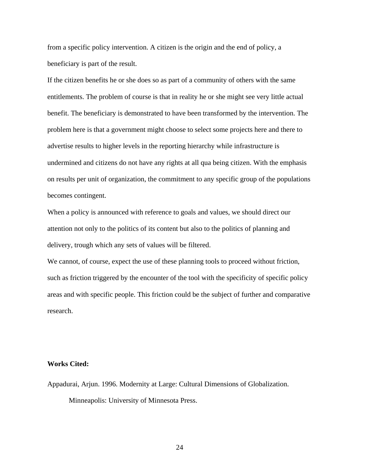from a specific policy intervention. A citizen is the origin and the end of policy, a beneficiary is part of the result.

If the citizen benefits he or she does so as part of a community of others with the same entitlements. The problem of course is that in reality he or she might see very little actual benefit. The beneficiary is demonstrated to have been transformed by the intervention. The problem here is that a government might choose to select some projects here and there to advertise results to higher levels in the reporting hierarchy while infrastructure is undermined and citizens do not have any rights at all qua being citizen. With the emphasis on results per unit of organization, the commitment to any specific group of the populations becomes contingent.

When a policy is announced with reference to goals and values, we should direct our attention not only to the politics of its content but also to the politics of planning and delivery, trough which any sets of values will be filtered.

We cannot, of course, expect the use of these planning tools to proceed without friction, such as friction triggered by the encounter of the tool with the specificity of specific policy areas and with specific people. This friction could be the subject of further and comparative research.

# **Works Cited:**

Appadurai, Arjun. 1996. Modernity at Large: Cultural Dimensions of Globalization. Minneapolis: University of Minnesota Press.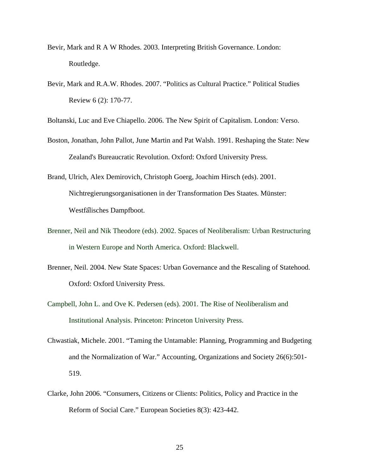- Bevir, Mark and R A W Rhodes. 2003. Interpreting British Governance. London: Routledge.
- Bevir, Mark and R.A.W. Rhodes. 2007. "Politics as Cultural Practice." Political Studies Review 6 (2): 170-77.

Boltanski, Luc and Eve Chiapello. 2006. The New Spirit of Capitalism. London: Verso.

- Boston, Jonathan, John Pallot, June Martin and Pat Walsh. 1991. Reshaping the State: New Zealand's Bureaucratic Revolution. Oxford: Oxford University Press.
- Brand, Ulrich, Alex Demirovich, Christoph Goerg, Joachim Hirsch (eds). 2001. Nichtregierungsorganisationen in der Transformation Des Staates. Münster: Westfä̈lisches Dampfboot.
- Brenner, Neil and Nik Theodore (eds). 2002. Spaces of Neoliberalism: Urban Restructuring in Western Europe and North America. Oxford: Blackwell.
- Brenner, Neil. 2004. New State Spaces: Urban Governance and the Rescaling of Statehood. Oxford: Oxford University Press.
- Campbell, John L. and Ove K. Pedersen (eds). 2001. The Rise of Neoliberalism and Institutional Analysis. Princeton: Princeton University Press.
- Chwastiak, Michele. 2001. "Taming the Untamable: Planning, Programming and Budgeting and the Normalization of War." Accounting, Organizations and Society 26(6):501- 519.
- Clarke, John 2006. "Consumers, Citizens or Clients: Politics, Policy and Practice in the Reform of Social Care." European Societies 8(3): 423-442.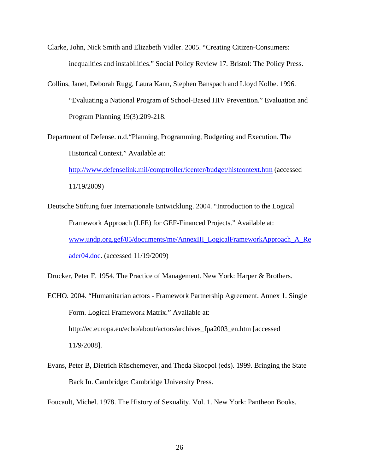Clarke, John, Nick Smith and Elizabeth Vidler. 2005. "Creating Citizen-Consumers: inequalities and instabilities." Social Policy Review 17*.* Bristol: The Policy Press.

Collins, Janet, Deborah Rugg, Laura Kann, Stephen Banspach and Lloyd Kolbe. 1996. "Evaluating a National Program of School-Based HIV Prevention." Evaluation and Program Planning 19(3):209-218.

Department of Defense. n.d."Planning, Programming, Budgeting and Execution. The Historical Context." Available at:

http://www.defenselink.mil/comptroller/icenter/budget/histcontext.htm (accessed 11/19/2009)

Deutsche Stiftung fuer Internationale Entwicklung. 2004. "Introduction to the Logical Framework Approach (LFE) for GEF-Financed Projects." Available at: www.undp.org.gef/05/documents/me/AnnexIII\_LogicalFrameworkApproach\_A\_Re ader04.doc. (accessed 11/19/2009)

Drucker, Peter F. 1954. The Practice of Management. New York: Harper & Brothers.

ECHO. 2004. "Humanitarian actors - Framework Partnership Agreement. Annex 1. Single Form. Logical Framework Matrix." Available at: http://ec.europa.eu/echo/about/actors/archives\_fpa2003\_en.htm [accessed 11/9/2008].

Evans, Peter B, Dietrich Rüschemeyer, and Theda Skocpol (eds). 1999. Bringing the State Back In. Cambridge: Cambridge University Press.

Foucault, Michel. 1978. The History of Sexuality. Vol. 1. New York: Pantheon Books.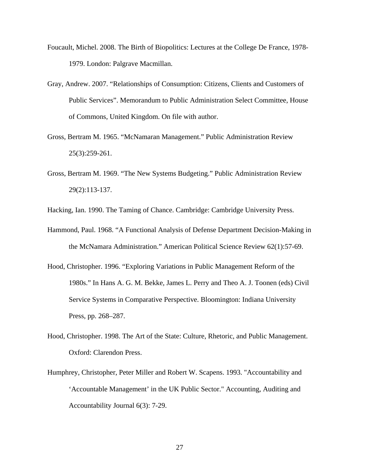- Foucault, Michel. 2008. The Birth of Biopolitics: Lectures at the College De France, 1978- 1979. London: Palgrave Macmillan.
- Gray, Andrew. 2007. "Relationships of Consumption: Citizens, Clients and Customers of Public Services". Memorandum to Public Administration Select Committee, House of Commons, United Kingdom. On file with author.
- Gross, Bertram M. 1965. "McNamaran Management." Public Administration Review 25(3):259-261.
- Gross, Bertram M. 1969. "The New Systems Budgeting." Public Administration Review 29(2):113-137.

Hacking, Ian. 1990. The Taming of Chance. Cambridge: Cambridge University Press.

- Hammond, Paul. 1968. "A Functional Analysis of Defense Department Decision-Making in the McNamara Administration." American Political Science Review 62(1):57-69.
- Hood, Christopher. 1996. "Exploring Variations in Public Management Reform of the 1980s." In Hans A. G. M. Bekke*,* James L. Perry and Theo A. J. Toonen (eds) Civil Service Systems in Comparative Perspective. Bloomington: Indiana University Press, pp. 268–287.
- Hood, Christopher. 1998. The Art of the State: Culture, Rhetoric, and Public Management. Oxford: Clarendon Press.
- Humphrey, Christopher, Peter Miller and Robert W. Scapens. 1993. "Accountability and 'Accountable Management' in the UK Public Sector." Accounting, Auditing and Accountability Journal 6(3): 7-29.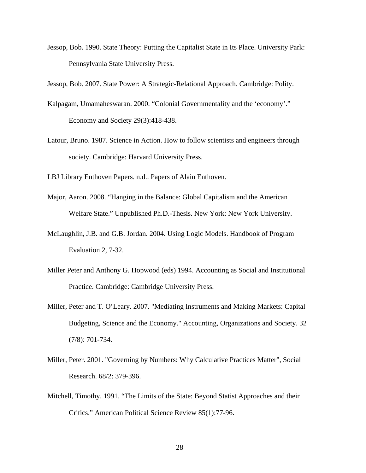Jessop, Bob. 1990. State Theory: Putting the Capitalist State in Its Place. University Park: Pennsylvania State University Press.

Jessop, Bob. 2007. State Power: A Strategic-Relational Approach. Cambridge: Polity.

- Kalpagam, Umamaheswaran. 2000. "Colonial Governmentality and the 'economy'." Economy and Society 29(3):418-438.
- Latour, Bruno. 1987. Science in Action. How to follow scientists and engineers through society. Cambridge: Harvard University Press.
- LBJ Library Enthoven Papers. n.d.. Papers of Alain Enthoven.
- Major, Aaron. 2008. "Hanging in the Balance: Global Capitalism and the American Welfare State." Unpublished Ph.D.-Thesis. New York: New York University.
- McLaughlin, J.B. and G.B. Jordan. 2004. Using Logic Models. Handbook of Program Evaluation 2, 7-32.
- Miller Peter and Anthony G. Hopwood (eds) 1994. Accounting as Social and Institutional Practice. Cambridge: Cambridge University Press.
- Miller, Peter and T. O'Leary. 2007. "Mediating Instruments and Making Markets: Capital Budgeting, Science and the Economy." Accounting, Organizations and Society. 32 (7/8): 701-734.
- Miller, Peter. 2001. "Governing by Numbers: Why Calculative Practices Matter", Social Research. 68/2: 379-396.
- Mitchell, Timothy. 1991. "The Limits of the State: Beyond Statist Approaches and their Critics." American Political Science Review 85(1):77-96.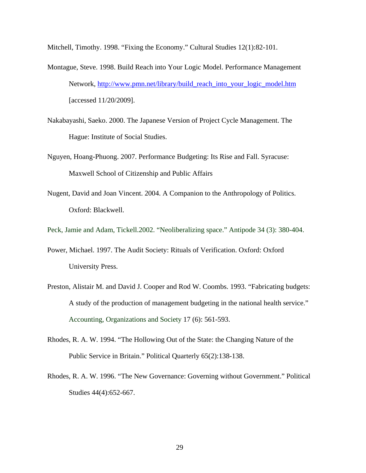Mitchell, Timothy. 1998. "Fixing the Economy." Cultural Studies 12(1):82-101.

- Montague, Steve. 1998. Build Reach into Your Logic Model. Performance Management Network, http://www.pmn.net/library/build\_reach\_into\_your\_logic\_model.htm [accessed 11/20/2009].
- Nakabayashi, Saeko. 2000. The Japanese Version of Project Cycle Management. The Hague: Institute of Social Studies.
- Nguyen, Hoang-Phuong. 2007. Performance Budgeting: Its Rise and Fall. Syracuse: Maxwell School of Citizenship and Public Affairs
- Nugent, David and Joan Vincent. 2004. A Companion to the Anthropology of Politics. Oxford: Blackwell.
- Peck, Jamie and Adam, Tickell.2002. "Neoliberalizing space." Antipode 34 (3): 380-404.
- Power, Michael. 1997. The Audit Society: Rituals of Verification. Oxford: Oxford University Press.
- Preston, Alistair M. and David J. Cooper and Rod W. Coombs. 1993. "Fabricating budgets: A study of the production of management budgeting in the national health service." Accounting, Organizations and Society 17 (6): 561-593.
- Rhodes, R. A. W. 1994. "The Hollowing Out of the State: the Changing Nature of the Public Service in Britain." Political Quarterly 65(2):138-138.
- Rhodes, R. A. W. 1996. "The New Governance: Governing without Government." Political Studies 44(4):652-667.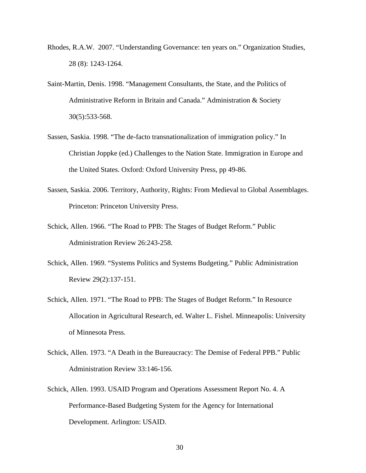- Rhodes, R.A.W. 2007. "Understanding Governance: ten years on." Organization Studies, 28 (8): 1243-1264.
- Saint-Martin, Denis. 1998. "Management Consultants, the State, and the Politics of Administrative Reform in Britain and Canada." Administration & Society 30(5):533-568.
- Sassen, Saskia. 1998. "The de-facto transnationalization of immigration policy." In Christian Joppke (ed.) Challenges to the Nation State. Immigration in Europe and the United States. Oxford: Oxford University Press, pp 49-86.
- Sassen, Saskia. 2006. Territory, Authority, Rights: From Medieval to Global Assemblages. Princeton: Princeton University Press.
- Schick, Allen. 1966. "The Road to PPB: The Stages of Budget Reform." Public Administration Review 26:243-258.
- Schick, Allen. 1969. "Systems Politics and Systems Budgeting." Public Administration Review 29(2):137-151.
- Schick, Allen. 1971. "The Road to PPB: The Stages of Budget Reform." In Resource Allocation in Agricultural Research, ed. Walter L. Fishel. Minneapolis: University of Minnesota Press.
- Schick, Allen. 1973. "A Death in the Bureaucracy: The Demise of Federal PPB." Public Administration Review 33:146-156.
- Schick, Allen. 1993. USAID Program and Operations Assessment Report No. 4. A Performance-Based Budgeting System for the Agency for International Development. Arlington: USAID.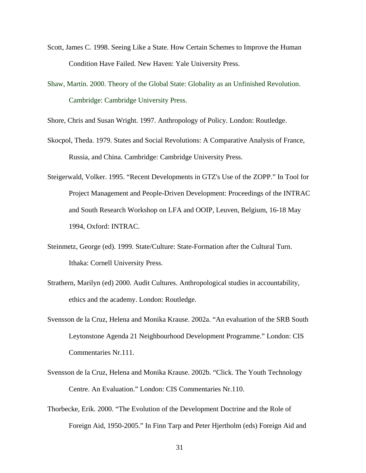- Scott, James C. 1998. Seeing Like a State. How Certain Schemes to Improve the Human Condition Have Failed. New Haven: Yale University Press.
- Shaw, Martin. 2000. Theory of the Global State: Globality as an Unfinished Revolution. Cambridge: Cambridge University Press.

Shore, Chris and Susan Wright. 1997. Anthropology of Policy. London: Routledge.

- Skocpol, Theda. 1979. States and Social Revolutions: A Comparative Analysis of France, Russia, and China. Cambridge: Cambridge University Press.
- Steigerwald, Volker. 1995. "Recent Developments in GTZ's Use of the ZOPP." In Tool for Project Management and People-Driven Development: Proceedings of the INTRAC and South Research Workshop on LFA and OOIP, Leuven, Belgium, 16-18 May 1994, Oxford: INTRAC.
- Steinmetz, George (ed). 1999. State/Culture: State-Formation after the Cultural Turn. Ithaka: Cornell University Press.
- Strathern, Marilyn (ed) 2000. Audit Cultures. Anthropological studies in accountability, ethics and the academy. London: Routledge.
- Svensson de la Cruz, Helena and Monika Krause. 2002a. "An evaluation of the SRB South Leytonstone Agenda 21 Neighbourhood Development Programme." London: CIS Commentaries Nr.111.
- Svensson de la Cruz, Helena and Monika Krause. 2002b. "Click. The Youth Technology Centre. An Evaluation." London: CIS Commentaries Nr.110.
- Thorbecke, Erik. 2000. "The Evolution of the Development Doctrine and the Role of Foreign Aid, 1950-2005." In Finn Tarp and Peter Hjertholm (eds) Foreign Aid and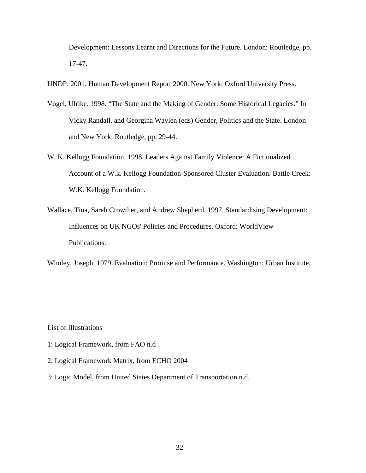Development: Lessons Learnt and Directions for the Future. London: Routledge, pp. 17-47.

UNDP. 2001. Human Development Report 2000. New York: Oxford University Press.

- Vogel, Ulrike. 1998. "The State and the Making of Gender: Some Historical Legacies." In Vicky Randall, and Georgina Waylen (eds) Gender, Politics and the State. London and New York: Routledge, pp. 29-44.
- W. K. Kellogg Foundation. 1998. Leaders Against Family Violence: A Fictionalized Account of a W.k. Kellogg Foundation-Sponsored Cluster Evaluation. Battle Creek: W.K. Kellogg Foundation.
- Wallace, Tina, Sarah Crowther, and Andrew Shepherd. 1997. Standardising Development: Influences on UK NGOs' Policies and Procedures. Oxford: WorldView Publications.

Wholey, Joseph. 1979. Evaluation: Promise and Performance. Washington: Urban Institute.

List of Illustrations

- 1: Logical Framework, from FAO n.d
- 2: Logical Framework Matrix, from ECHO 2004
- 3: Logic Model, from United States Department of Transportation n.d.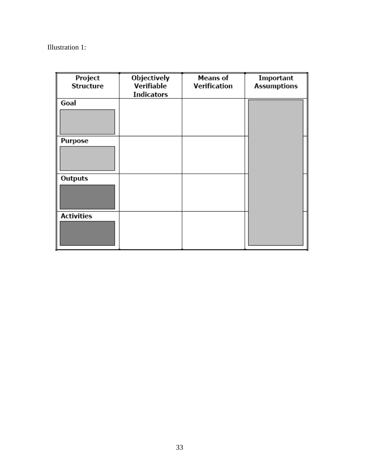Illustration 1:

| Project<br><b>Structure</b> | Objectively<br>Verifiable<br><b>Indicators</b> | <b>Means</b> of<br>Verification | Important<br><b>Assumptions</b> |
|-----------------------------|------------------------------------------------|---------------------------------|---------------------------------|
| Goal                        |                                                |                                 |                                 |
| Purpose                     |                                                |                                 |                                 |
| Outputs                     |                                                |                                 |                                 |
| <b>Activities</b>           |                                                |                                 |                                 |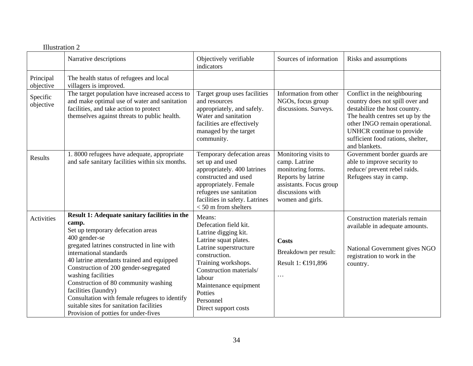| Illustration 2         |                                                                                                                                                                                                                                                                                                                                                                                                                                                                                                         |                                                                                                                                                                                                                                                                  |                                                                                                                                                     |                                                                                                                                                                                                                                                           |  |  |
|------------------------|---------------------------------------------------------------------------------------------------------------------------------------------------------------------------------------------------------------------------------------------------------------------------------------------------------------------------------------------------------------------------------------------------------------------------------------------------------------------------------------------------------|------------------------------------------------------------------------------------------------------------------------------------------------------------------------------------------------------------------------------------------------------------------|-----------------------------------------------------------------------------------------------------------------------------------------------------|-----------------------------------------------------------------------------------------------------------------------------------------------------------------------------------------------------------------------------------------------------------|--|--|
|                        | Narrative descriptions                                                                                                                                                                                                                                                                                                                                                                                                                                                                                  | Objectively verifiable<br>indicators                                                                                                                                                                                                                             | Sources of information                                                                                                                              | Risks and assumptions                                                                                                                                                                                                                                     |  |  |
| Principal<br>objective | The health status of refugees and local<br>villagers is improved.                                                                                                                                                                                                                                                                                                                                                                                                                                       |                                                                                                                                                                                                                                                                  |                                                                                                                                                     |                                                                                                                                                                                                                                                           |  |  |
| Specific<br>objective  | The target population have increased access to<br>and make optimal use of water and sanitation<br>facilities, and take action to protect<br>themselves against threats to public health.                                                                                                                                                                                                                                                                                                                | Target group uses facilities<br>and resources<br>appropriately, and safely.<br>Water and sanitation<br>facilities are effectively<br>managed by the target<br>community.                                                                                         | Information from other<br>NGOs, focus group<br>discussions. Surveys.                                                                                | Conflict in the neighbouring<br>country does not spill over and<br>destabilize the host country.<br>The health centres set up by the<br>other INGO remain operational.<br>UNHCR continue to provide<br>sufficient food rations, shelter,<br>and blankets. |  |  |
| Results                | 1.8000 refugees have adequate, appropriate<br>and safe sanitary facilities within six months.                                                                                                                                                                                                                                                                                                                                                                                                           | Temporary defecation areas<br>set up and used<br>appropriately. 400 latrines<br>constructed and used<br>appropriately. Female<br>refugees use sanitation<br>facilities in safety. Latrines<br>$<$ 50 m from shelters                                             | Monitoring visits to<br>camp. Latrine<br>monitoring forms.<br>Reports by latrine<br>assistants. Focus group<br>discussions with<br>women and girls. | Government border guards are<br>able to improve security to<br>reduce/ prevent rebel raids.<br>Refugees stay in camp.                                                                                                                                     |  |  |
| Activities             | Result 1: Adequate sanitary facilities in the<br>camp.<br>Set up temporary defecation areas<br>400 gender-se<br>gregated latrines constructed in line with<br>international standards<br>40 latrine attendants trained and equipped<br>Construction of 200 gender-segregated<br>washing facilities<br>Construction of 80 community washing<br>facilities (laundry)<br>Consultation with female refugees to identify<br>suitable sites for sanitation facilities<br>Provision of potties for under-fives | Means:<br>Defecation field kit.<br>Latrine digging kit.<br>Latrine squat plates.<br>Latrine superstructure<br>construction.<br>Training workshops.<br>Construction materials/<br>labour<br>Maintenance equipment<br>Potties<br>Personnel<br>Direct support costs | <b>Costs</b><br>Breakdown per result:<br>Result 1: €191,896<br>$\ddots$                                                                             | Construction materials remain<br>available in adequate amounts.<br>National Government gives NGO<br>registration to work in the<br>country.                                                                                                               |  |  |